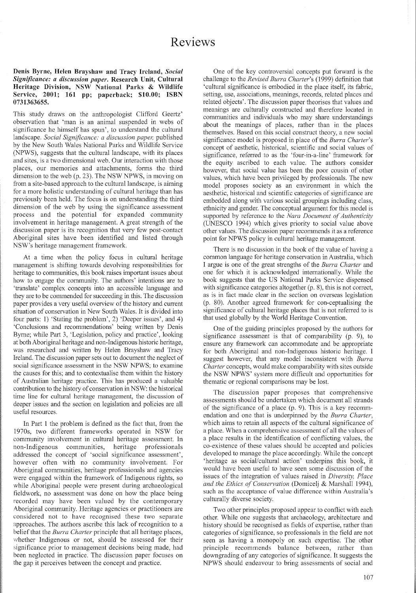#### Denis Byrne, Helen Brayshaw and Tracy Ireland, *Social Significance: a discussion paper.* Research Unit, Cultural Heritage Division, NSW National Parks & Wildlife Service, 2001; 161 pp; paperback; \$10.00; ISBN 0731363655.

This study draws on the anthropologist Clifford Geertz' observation that 'man is an animal suspended in webs of significance he himself has spun', to understand the cultural landscape. *Social Significance: a discussion paper,* published by the New South Wales National Parks and Wildlife Service (NPWS), suggests that the cultural landscape, with its places and sites, is a two dimensional web. Our interaction with those places, our memories and attachments, forms the third dimension to the web (p. 23). The NSW NPWS, in moving on from a site-based approach to the cultural landscape, is aiming for a more holistic understanding of cultural heritage than has previously been held. The focus is on understanding the third dimension of the web by using the significance assessment process and the potential for expanded community involvement in heritage management. A great strength of the discussion paper is its recognition that very few post-contact Aboriginal sites have been identified and listed through NSW's heritage management framework.

At a time when the policy focus in cultural heritage management is shifting towards devolving responsibilities for heritage to communities, this book raises important issues about how to engage the community. The authors' intentions are to 'translate' complex concepts into an accessible language and they are to be commended for succeeding in this. The discussion paper provides a very useful overview of the history and current situation of conservation in New South Wales. It is divided into four parts: 1) 'Stating the problem', 2) 'Deeper issues', and 4) 'Conclusions and recommendations' being written by Denis Byme; while Part 3, 'Legislation, policy and practice', looking at both Aboriginal heritage and non-Indigenous historic heritage, was researched and written by Helen Brayshaw and Tracy Ireland. The discussion paper sets out to document the neglect of social significance assessment in the NSW NPWS; to examine the causes for this; and to contextualise them within the history of Australian heritage practice. This has produced a valuable contribution to the history of conservation in NSW: the historical time line for cultural heritage management, the discussion of deeper issues and the section on legislation and policies are all useful resources.

In Part I the problem is defined as the fact that, from the 1970s, two different frameworks operated in NSW for community involvement in cultural heritage assessment. In non-Indigenous communities, heritage professionals addressed the concept of 'social significance assessment', however often with no community involvement. For Aboriginal communities, heritage professionals and agencies were engaged within the framework of Indigenous rights, so while Aboriginal people were present during archaeological fieldwork, no assessment was done on how the place being recorded may have been valued by the contemporary Aboriginal community. Heritage agencies or practitioners are considered not to have recognised these two separate approaches. The authors ascribe this lack of recognition to a belief that the *Burra Charter* principle that all heritage places, whether Indigenous or not, should be assessed for their significance prior to management decisions being made, had been neglected in practice. The discussion paper focuses on the gap it perceives between the concept and practice.

One of the key controversial concepts put forward is the challenge to the *Revised Burra Charter's* (1999) definition that 'cultural significance is embodied in the place itself, its fabric, setting, use, associations, meanings, records, related places and related objects'. The discussion paper theorises that values and meanings are culturally constructed and therefore located in communities and individuals who may share understandings about the meanings of places, rather than in the places themselves. Based on this social construct theory, a new social significance model is proposed in place of the *Burra Charter's* concept of aesthetic, historical, scientific and social values of significance, refened to as the 'four-in-a-line' framework for the equity ascribed to each value. The authors consider however, that social value has been the poor cousin of other values, which have been privileged by professionals. The new model proposes society as an environment in which the aesthetic, historical and scientific categories of significance are embedded along with various social groupings including class, ethnicity and gender. The conceptual argument for this model is supported by reference to the *Nara Document of Authenticity* (UNESCO 1994) which gives priority to social value above other values. The discussion paper recommends it as a reference point for NPWS policy in cultural heritage management.

There is no discussion in the book of the value of having a common language for heritage conservation in Australia, which I argue is one of the great strengths of the *Burra Charter* and one for which it is acknowledged internationally. While the book suggests that the US National Parks Service dispensed with significance categories altogether (p. 8), this is not correct, as is in fact made clear in the section on overseas legislation (p. 80). Another agreed framework for con-ceptualising the significance of cultural heritage places that is not refened to is that used globally by the World Heritage Convention.

One of the guiding principles proposed by the authors for significance assessment is that of comparability (p. 9), to ensure any framework can accommodate and be appropriate for both Aboriginal and non-Indigenous historic heritage. I suggest however, that any model inconsistent with *Burra Charter* concepts, would make comparability with sites outside the NSW NPWS' system more difficult and opportunities for thematic or regional comparisons may be lost.

The discussion paper proposes that comprehensive assessments should be undertaken which document all strands of the significance of a place (p. 9). This is a key recommendation and one that is underpinned by the *Burra Charter,* which aims to retain all aspects of the cultural significance of a place. When a comprehensive assessment of all the values of a place results in the identification of conflicting values, the co-existence of these values should be accepted and policies developed to manage the place accordingly. While the concept 'heritage as social/cultural action' underpins this book, it would have been useful to have seen some discussion of the issues of the integration of values raised in *Diversity, Place and the Ethics of Conservation* (Domicelj & Marshall 1994), such as the acceptance of value difference within Australia's culturally diverse society.

Two other principles proposed appear to conflict with each other. While one suggests that archaeology, architecture and history should be recognised as fields of expertise, rather than categories of significance, so professionals in the field are not seen as having a monopoly on such expertise. The other principle recommends balance between, rather than downgrading of any categories of significance. It suggests the NPWS should endeavour to bring assessments of social and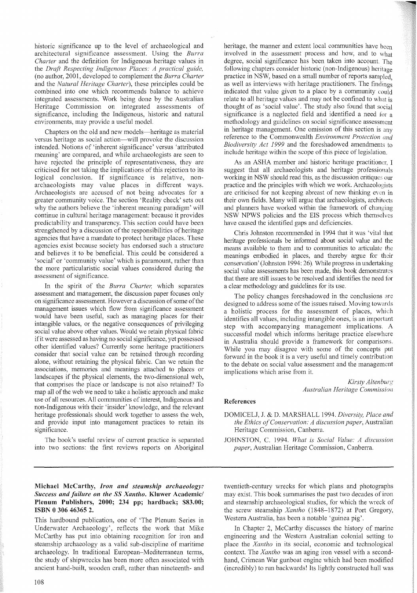historic significance up to the level of archaeological and architectural significance assessment. Using the *Burra Charter* and the definition for Indigenous heritage values in the *Draft Respecting Indigenous Places: A practical guide,* (no author, 200 I, developed to complement the *Burra Charter* and the *Natural Heritage Charter),* these principles could be combined into one which recommends balance to achieve integrated assessments. Work being done by the Australian Heritage Commission on integrated assessments of significance, including the Indigenous, historic and natural environments, may provide a useful model.

Chapters on the old and new models—heritage as material versus heritage as social action-will provoke the discussion intended. Notions of 'inherent significance' versus 'attributed meaning' are compared, and while archaeologists are seen to have rejected the principle of representativeness, they are criticised for not taking the implications of this rejection to its logical conclusion. If significance is relative, nonarchaeologists may value places in different ways. Archaeologists are accused of not being advocates for a greater community voice. The section 'Reality check' sets out why the authors believe the 'inherent meaning paradigm' will continue in cultural heritage management: because it provides predictability and transparency. This section could have been strengthened by a discussion of the responsibilities of heritage agencies that have a mandate to protect heritage places. These agencies exist because society has endorsed such a stmcture and believes it to be beneficial. This could be considered a 'social' or 'community value' which is paramount, rather than the more particularistic social values considered during the assessment of significance.

In the spirit of the *Burra Charter*, which separates assessment and management, the discussion paper focuses only on significance assessment. However a discussion of some of the management issues which flow from significance assessment would have been useful, such as managing places for their intangible values, or the negative consequences of privileging social value above other values. Would we retain physical fabric if it were assessed as having no social significance, yet possessed other identified values? Currently some heritage practitioners consider that social value can be retained through recording alone, without retaining the physical fabric. Can we retain the associations, memories and meanings attached to places or landscapes if the physical elements, the two-dimensional web, that comprises the place or landscape is not also retained? To map all of the web we need to take a holistic approach and make use of all resources. All communities of interest, Indigenous and non-Indigenous with their 'insider' knowledge, and the relevant heritage professionals should work together to assess the web, and provide input into management practices to retain its significance.

The book's useful review of current practice is separated into two sections: the first reviews reports on Aboriginal

# Michael McCarthy, *Iron and steamship archaeology: Success and failure on the* SS *Xantho.* Kluwer Academic/ Plenum Publishers, 2000; 234 pp; hardback; \$83.00; ISBN 0 306 46365 2.

This hardbound publication, one of 'The Plenum Series in Underwater Archaeology', reflects the work that Mike McCarthy has put into obtaining recognition for iron and steamship archaeology as a valid sub-discipline of maritime archaeology. In traditional European-Mediterranean terms, the study of shipwrecks has been more often associated with ancient hand-built, wooden craft, rather than nineteenth- and

heritage, the manner and extent local communities have been involved in the assessment process and how, and to what degree, social significance has been taken into account. The following chapters consider historic (non-Indigenous) heritage practice in NSW, based on a small number of reports sampled. as well as interviews with heritage practitioners. The findings indicated that value given to a place by a community could relate to all heritage values and may not be confined to what is thought of as 'social value'. The study also found that social significance is a neglected field and identified a need for a methodology and guidelines on social significance assessment in heritage management. One omission of this section is any reference to the Commonwealth *Environment Protection and Biodiversity Act* 1999 and the foreshadowed amendments to include heritage within the scope of this piece of legislation.

As an ASHA member and historic heritage practitioner, I suggest that all archaeologists and heritage professionals working in NSW should read this, as the discussion critiques our practice and the principles with which we work. Archaeologists are criticised for not keeping abreast of new thinking even in their own fields. Many will argue that archaeologists, architects and planners have worked within the framework of changing NSW NPWS policies and the EIS process which themselves have caused the identified gaps and deficiencies.

Chris Johnston recommended in 1994 that it was 'vital that heritage professionals be informed about social value and the means available to them and to communities to articulate the meanings embodied in places, and thereby argue for their conservation' (Johnston 1994: 26). While progress in undertaking social value assessments has been made, this book demonstrates that there are still issues to be resolved and identifies the need for a clear methodology and guidelines for its use.

The policy changes foreshadowed in the conclusions are designed to address some of the issues raised. Moving towards a holistic process for the assessment of places, which identifies all values, including intangible ones, is an important step with accompanying management implications. A successful model which informs heritage practice elsewhere in Australia should provide a framework for comparisons. While you may disagree with some of the concepts put forward in the book it is a very useful and timely contribution to the debate on social value assessment and the management implications which arise from it.

> *Kirsty AltenbUlg; Australian Heritage Commission*

#### References

- DOMICELJ,1. & D. MARSHALL 1994. *Diversity, Place and the Ethics ofConservation: A discussion paper,* Australian Heritage Commission, Canberra.
- JOHNSTON, C. 1994. *What is Social Value: A discussion paper,* Australian Heritage Commission, Canberra.

twentieth-century wrecks for which plans and photographs may exist. This book summarises the past two decades of iron and steamship archaeological studies, for which the wreck of the screw steamship *Xantho* (1848-1872) at Port Gregory, Western Australia, has been a notable 'guinea pig'.

In Chapter 2, McCarthy discusses the history of marine engineering and the Western Australian colonial setting to place the *Xantho* in its social, economic and technological context. The *Xantho* was an aging iron vessel with a secondhand, Crimean War gunboat engine which had been modified (incredibly) to run backwards! Its lightly constructed hull was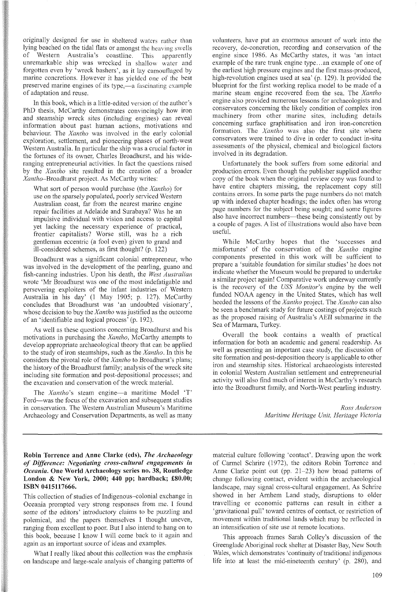originally designed for use in sheltered waters rather than lying beached on the tidal flats or amongst the heaving swells of Western Australia's coastline. This apparently unremarkable ship was wrecked in shallow water and forgotten even by 'wreck bashers', as it lay camouflaged by marine concretions. However it has yielded one of the best preserved marine engines of its type,—a fascinating example of adaptation and reuse.

In this book, which is a little-edited version of the author's PhD thesis, McCarthy demonstrates convincingly how iron and steamship wreck sites (including engines) can reveal information about past human actions, motivations and behaviour. The *Xantho* was involved in the early colonial exploration, settlement, and pioneering phases of north-west Western Australia. In particular the ship was a crucial factor in the fortunes of its owner, Charles Broadhurst, and his wideranging entrepreneurial activities. In fact the questions raised by the *Xantho* site resulted in the creation of a broader *Xantho-Broadhurst* project. As McCarthy writes:

What sort of person would purchase (the *Xantho)* for use on the sparsely populated, poorly serviced Western Australian coast, far from the nearest marine engine repair facilities at Adelaide and Surabaya? Was he an impulsive individual with vision and access to capital yet lacking the necessary experience of practical, frontier capitalists? Worse still, was he a rich gentleman eccentric (a fool even) given to grand and ill-considered schemes, as first thought? (p. 122)

Broadhurst was a significant colonial entrepreneur, who was involved in the development of the pearling, guano and fish-canning industries. Upon his death, the *West Australian* wrote 'Mr Broadhurst was one of the most indefatigable and persevering exploiters of the infant industries of Western Australia in his day' (1 May 1905; p. 127). McCarthy concludes that Broadhurst was 'an undoubted visionary', whose decision to buy the *Xantho* was justified as the outcome of an 'identifiable and logical process' (p. 192).

As well as these questions concerning Broadhurst and his motivations in purchasing the *Xantho,* McCarthy attempts to develop appropriate archaeological theory that can be applied to the study of iron steamships, such as the *Xantho.* In this he considers the pivotal role of the *Xantho* to Broadhurst's plans; the history of the Broadhurst family; analysis of the wreck site including site formation and post-depositional processes; and the excavation and conservation of the wreck material.

The *Xantho's* steam engine-a maritime Model 'T' Ford-was the focus of the excavation and subsequent studies in conservation. The Western Australian Museum's Maritime Archaeology and Conservation Departments, as well as many volunteers, have put an enormous amount of work into the recovery, de-concretion, recording and conservation of the engine since 1986. As McCarthy states, it was 'an intact example of the rare trunk engine type... an example of one of the earliest high pressure engines and the first mass-produced, high-revolution engines used at sea' (p. 129). It provided the blueprint for the first working replica model to be made of a marine steam engine recovered from the sea. The *Xantho* engine also provided numerous lessons for archaeologists and conservators concerning the likely condition of complex iron machinery from other marine sites, including details concerning surface graphitisation and iron iron-concretion formation. The *Xantho* was also the first site where conservators were trained to dive in order to conduct in-situ assessments of the physical, chemical and biological factors involved in its degradation.

Unfortunately the book suffers from some editorial and production errors. Even though the publisher supplied another copy of the book when the original review copy was found to have entire chapters missing, the replacement copy still contains errors. In some parts the page numbers do not match up with indexed chapter headings; the index often has wrong page numbers for the subject being sought; and some figures also have incorrect numbers—these being consistently out by a couple of pages. A list of illustrations would also have been useful.

While McCarthy hopes that the 'successes and misfortunes' of the conservation of the *Xantho* engine components presented in this work will be sufficient to prepare a 'suitable foundation for similar studies' he does not indicate whether the Museum would be prepared to undertake a similar project again! Comparative work underway currently is the recovery of the *USS Monitor's* engine by the well funded NOAA agency in the United States, which has well heeded the lessons of the *Xantho* project. The *Xantho* can also be seen a benchmark study for future costings of projects such as the proposed raising of Australia's AEIl submarine in the Sea of Marmara, Turkey.

Overall the book contains a wealth of practical information for both an academic and general readership. As well as presenting an important case study, the discussion of site formation and post-deposition theory is applicable to other iron and steamship sites. Historical archaeologists interested in colonial Western Australian settlement and entrepreneurial activity will also find much of interest in McCarthy's research into the Broadhurst family, and North-West pearling industry.

> *Ross Anderson Maritime Heritage Unit, Heritage Victoria*

Robin Torrence and Anne Clarke (eds), *The Archaeology of Difference: Negotiating cross-cultural engagements in Oceania.* One World Archaeology series no. 38, Routledge London & New York, 2000; 440 pp; hardback; £80.00; ISBN 0415117666.

This collection of studies of Indigenous-colonial exchange in Oceania prompted very strong responses from me. I found some of the editors' introductory claims to be puzzling and polemical, and the papers themselves I thought uneven, ranging from excellent to poor. But I also intend to hang on to this book, because I know I will come back to it again and again as an important source of ideas and examples.

What I really liked about this collection was the emphasis on landscape and large-scale analysis of changing patterns of

material culture following 'contact'. Drawing upon the work of Carmel Schrire (1972), the editors Robin Torrence and Anne Clarke point out (pp. 21-23) how broad patterns of change following contact, evident within the archaeological landscape, may signal cross-cultural engagement. As Schrire showed in her Arnhem Land study, disruptions to older travelling or economic patterns can result in either a 'gravitational pull' toward centres of contact, or restriction of movement within traditional lands which may be reflected in an intensification of site use at remote locations.

This approach frames Sarah Colley's discussion of the Greenglade Aboriginal rock shelter at Disaster Bay, New South Wales, which demonstrates 'continuity of traditional indigenous life into at least the mid-nineteenth century' (p. 280), and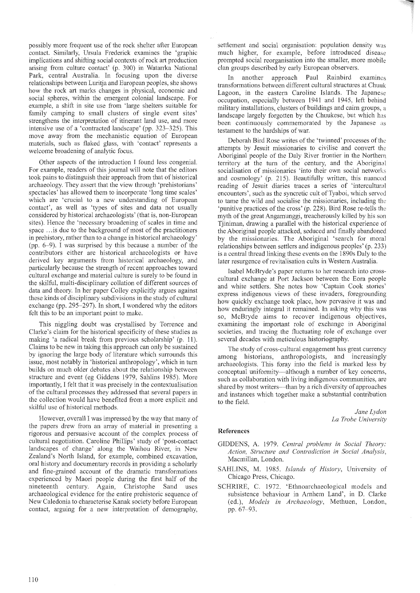possibly more frequent use of the rock shelter after European contact. Similarly, Ursula Frederick examines the 'graphic implications and shifting social contexts of rock art production arising from culture contact' (p. 300) in Watarrka National Park, central Australia. In focusing upon the diverse relationships between Luritia and European peoples, she shows how the rock art marks changes in physical, economic and social spheres, within the emergent colonial landscape. For example, a shift in site use from 'large shelters suitable for family camping to small clusters of single event sites' strengthens the interpretation of itinerant land use, and more intensive use of a 'contracted landscape' (pp. 323-325). This move away from the mechanistic equation of European materials, such as flaked glass, with 'contact' represents a welcome broadening of analytic focus.

Other aspects of the introduction I found less congenial. For example, readers of this journal will note that the editors took pains to distinguish their approach from that of historical archaeology. They assert that the view through 'prehistorians' spectacles' has allowed them to incorporate 'long time scales' which are 'crucial to a new understanding of European contact', as well as 'types of sites and data not usually considered by historical archaeologists' (that is, non-European sites). Hence the 'necessary broadening of scales in time and space .. .is due to the background of most of the practitioners in prehistory, rather than to a change in historical archaeology' (pp. 6-9). I was surprised by this because a number of the contributors either are historical archaeologists or have derived key arguments from historical archaeology, and particularly because the strength of recent approaches toward cultural exchange and material culture is surely to be found in the skilful, multi-disciplinary collation of different sources of data and theory. In her paper Colley explicitly argues against these kinds of disciplinary subdivisions in the study of cultural exchange (pp. 295-297). In short, I wondered why the editors felt this to be an important point to make.

This niggling doubt was crystallised by Torrence and Clarke's claim for the historical specificity of these studies as making 'a radical break from previous scholarship' (p. 11). Claims to be new in taking this approach can only be sustained by ignoring the large body of literature which surrounds this issue, most notably in 'historical anthropology', which in turn builds on much older debates about the relationship between structure and event (eg Giddens 1979, Sahlins 1985). More importantly, I felt that it was precisely in the contextualisation of the cultural processes they addressed that several papers in the collection would have benefited from a more explicit and skilful use of historical methods.

However, overall I was impressed by the way that many of the papers drew from an array of material in presenting a rigorous and persuasive account of the complex process of cultural negotiation. Caroline Phillips' study of 'post-contact landscapes of change' along the Waihou River, in New Zealand's North Island, for example, combined excavation, oral history and documentary records in providing a scholarly and fine-grained account of the dramatic transformations experienced by Maori people during the first half of the nineteenth century. Again, Christophe Sand uses archaeological evidence for the entire prehistoric sequence of New Caledonia to characterise Kanak society before European contact, arguing for a new interpretation of demography, settlement and social organisation: population density was much higher, for example, before introduced disease prompted social reorganisation into the smaller, more mobile clan groups described by early European observers.

In another approach Paul Rainbird examines transformations between different cultural structures at Chuuk Lagoon, in the eastern Caroline Islands. The Japanese occupation, especially between 1941 and 1945, left behind military installations, clusters of buildings and cairn groups, a landscape largely forgotten by the Chuukese, but which has been continuously commemorated by the Japanese as testament to the hardships of war.

Deborah Bird Rose writes of the 'twinned' processes of the attempts by Jesuit missionaries to civilise and convert the Aboriginal people of the Daly River frontier in the Northern territory at the turn of the century, and the Aboriginal socialisation of missionaries 'into their own social networks and cosmology' (p. 215). Beautifully written, this nuanced reading of Jesuit diaries traces a series of 'intercultural encounters', such as the syncretic cult of Tyaboi, which served to tame the wild and socialise the missionaries, including the 'punitive practices of the cross' (p. 228). Bird Rose re-tells the myth of the great Angamunggi, treacherously killed by his son Tjiniman, drawing a parallel with the historical experience of the Aboriginal people attacked, seduced and finally abandoned by the missionaries. The Aboriginal 'search for moral relationships between settlers and indigenous peoples' (p. 233) is a central thread linking these events on the l890s Daly to the later resurgence of revitalisation cults in Western Australia.

Isabel McBryde's paper returns to her research into crosscultural exchange at Port Jackson between the Eora people and white settlers. She notes how 'Captain Cook stories' express indigenous views of these invaders, foregrounding how quickly exchange took place, how pervasive it was and how enduringly integral it remained. In asking why this was so, McBryde aims to recover indigenous objectives, examining the important role of exchange in Aboriginal societies, and tracing the fluctuating role of exchange over several decades with meticulous historiography.

The study of cross-cultural engagement has great currency among historians, anthropologists, and increasingly archaeologists. This foray into the field is marked less by conceptual uniformity—although a number of key concerns, such as collaboration with living indigenous communities, are shared by most writers—than by a rich diversity of approaches and instances which together make a substantial contribution to the field.

> *Jane Lydon La Trobe University*

# **References**

- GIDDENS, A. 1979. *Central problems in Social Theory: Action, Structure and Contradiction in Social Analysis,* Macmillan, London.
- SAHLINS, M. 1985. *Islands of History,* University of Chicago Press, Chicago.
- SCHRIRE, C. 1972. 'Ethnoarchaeological models and subsistence behaviour in Arnhem Land', in D. Clarke (ed.), *Models in Archaeology,* Methuen, London, pp. 67-93.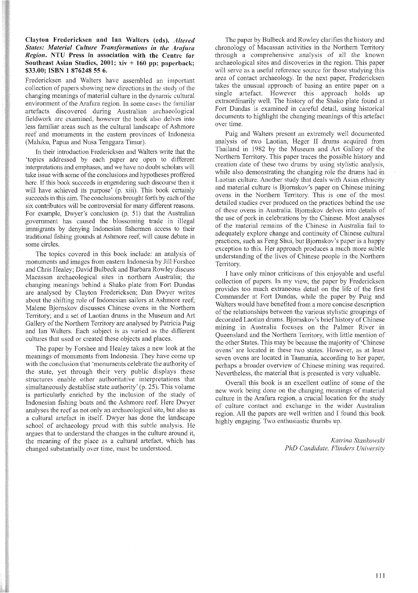## Clayton Fredericksen and lan Waiters (eds), *Altered States: Material Culture Transformations in the Arafilra Region.* NTU Press in association with the Centre for Southeast Asian Studies, 2001;  $xiv + 160$  pp; paperback; \$33.00; ISBN 1 876248 55 6.

Fredericksen and Walters have assembled an important collection of papers showing new directions in the study of the changing meanings of material culture in the dynamic cultural environment of the Arafura region. In some cases the familiar artefacts discovered during Australian archaeological fieldwork are examined, however the book also delves into less familiar areas such as the cultural landscape of Ashmore reef and monuments in the eastern provinces of Indonesia (Maluku, Papua and Nusa Tenggara Timur).

In their introduction Fredericksen and Walters write that the 'topics addressed by each paper are open to different interpretations and emphases, and we have no doubt scholars will take issue with some of the conclusions and hypotheses proffered here. If this book succeeds in engendering such discourse then it will have achieved its purpose' (p. xiii). This book certainly succeeds in this aim. The conclusions brought forth by each of the six contributors will be controversial for many different reasons. For example, Dwyer's conclusion (p. 51) that the Australian government has caused the blossoming trade in illegal immigrants by denying Indonesian fishermen access to their traditional fishing grounds at Ashmore reef, will cause debate in some circles.

The topics covered in this book include: an analysis of monuments and images from eastern Indonesia by Jill Forshee and Chris Healey; David Bulbeck and Barbara Rowley discuss Macassan archaeological sites in northern Australia; the changing meanings behind a Shako plate from Fort Dundas are analysed by Clayton Fredericksen; Dan Dwyer writes about the shifting role of Indonesian sailors at Ashmore reef Malene Bjornskov discusses Chinese ovens in the Northern Territory; and a set of Laotian drums in the Museum and Art Gallery of the Northern Territory are analysed by Patricia Puig and Ian WaIters. Each subject is as varied as the different cultures that used or created these objects and places.

The paper by Forshee and Healey takes a new look at the meanings of monuments from Indonesia. They have come up with the conclusion that 'monuments celebrate the authority of the state, yet through their very public displays these structures enable other authoritative interpretations that simultaneously destablise state authority' (p. 25). This volume is particularly enriched by the inclusion of the study of Indonesian fishing boats and the Ashmore reef. Here Dwyer analyses the reef as not only an archaeological site, but also as a cultural artefact in itself. Dwyer has done the landscape school of archaeology proud with this subtle analysis. He argues that to understand the changes in the culture around it, the meaning of the place as a cultural artefact, which has changed substantially over time, must be understood.

The paper by Bulbeck and Rowley clarifies the history and chronology of Macassan activities in the Northern Territory through a comprehensive analysis of all the known archaeological sites and discoveries in the region. This paper will serve as a useful reference source for those studying this area of contact archaeology. In the next paper, Fredericksen takes the unusual approach of basing an entire paper on a single artefact. However this approach holds up extraordinarily well. The history of the Shako plate found at Fort Dundas is examined in careful detail, using historical documents to highlight the changing meanings of this artefact over time.

Puig and Walters present an extremely well documented analysis of two Laotian, Heger II drums acquired from Thailand in 1982 by the Museum and Art Gallery of the Northern Territory. This paper traces the possible history and creation date of these two drums by using stylistic analysis, while also demonstrating the changing role the drums had in Laotian culture. Another study that deals with Asian ethnicity and material culture is Bjornskov's paper on Chinese mining ovens in the Northem Territory. This is one of the most detailed studies ever produced on the practices behind the use of these ovens in Australia. Bjornskov delves into details of the use of pork in celebrations by the Chinese. Most analyses of the material remains of the Chinese in Australia fail to adequately explore change and continuity of Chinese cultural practices, such as Feng Shui, but Bjornskov's paper is a happy exception to this. Her approach produces a much more subtle understanding of the lives of Chinese people in the Northem Territory.

I have only minor criticisms of this enjoyable and useful collection of papers. In my view, the paper by Fredericksen provides too much extraneous detail on the life of the first Commander at Fort Dundas, while the paper by Puig and WaIters would have benefited from a more concise description of the relationships between the various stylistic groupings of decorated Laotian drums. Bjornskov's brief history of Chinese mining in Australia focuses on the Palmer River in Queensland and the Northern Territory, with little mention of the other States. This may be because the majority of 'Chinese ovens' are located in these two states. However, as at least seven ovens are located in Tasmania, according to her paper, perhaps a broader overview of Chinese mining was required. Nevertheless, the material that is presented is very valuable.

Overall this book is an excellent outline of some of the new work being done on the changing meanings of material culture in the Arafura region, a crucial location for the study of culture contact and exchange in the wider Australian region. All the papers are well written and I found this book highly engaging. Two enthusiastic thumbs up.

> *Katrina Stankowski PhD Candidate, Flinders University*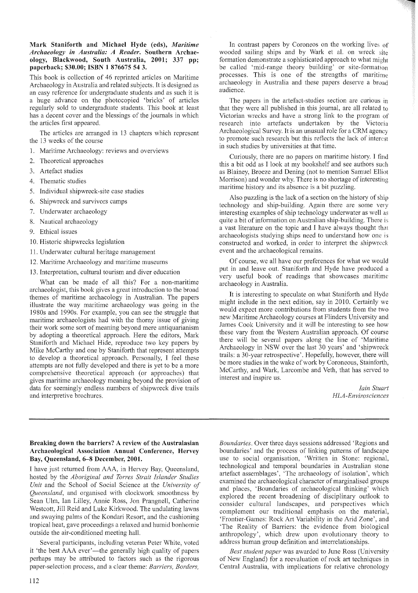### Mark Staniforth and Michael Hyde (eds), *Maritime Archaeology in Australia: A Reader.* Southern Archaeology, Blackwood, South Australia, 2001; 337 pp; paperback; \$30.00; ISBN 1 876675 54 3.

This book is collection of 46 reprinted articles on Maritime Archaeology in Australia and related subjects. It is designed as an easy reference for undergraduate students and as such it is a huge advance on the photocopied 'bricks' of articles regularly sold to undergraduate students. This book at least has a decent cover and the blessings of the journals in which the articles first appeared.

The articles are arranged in 13 chapters which represent the 13 weeks of the course

- 1. Maritime Archaeology: reviews and overviews
- 2. Theoretical approaches
- 3. Artefact studies
- 4. Thematic studies
- 5. Individual shipwreck-site case studies
- 6. Shipwreck and survivors camps
- 7. Underwater archaeology
- 8. Nautical archaeology
- 9. Ethical issues
- 10. Historic shipwrecks legislation
- 11. Underwater cultural heritage management
- 12. Maritime Archaeology and maritime museums
- 13. Interpretation, cultural tourism and diver education

What can be made of all this? For a non-maritime archaeologist, this book gives a great introduction to the broad themes of maritime archaeology in Australian. The papers illustrate the way maritime archaeology was going in the 1980s and 1990s. For example, you can see the struggle that maritime archaeologists had with the thorny issue of giving their work some sort of meaning beyond mere antiquarianism by adopting a theoretical approach. Here the editors, Mark Staniforth and Michael Hide, reproduce two key papers by Mike McCarthy and one by Staniforth that represent attempts to develop a theoretical approach. Personally, I feel these attempts are not fully developed and there is yet to be a more comprehensive theoretical approach (or approaches) that gives maritime archaeology meaning beyond the provision of data for seemingly endless numbers of shipwreck dive trails and interpretive brochures.

In contrast papers by Coroneos on the working lives of wooded sailing ships and by Wark et al. on wreck site formation demonstrate a sophisticated approach to what might be called 'mid-range theory building' or site-formation processes. This is one of the strengths of maritime archaeology in Australia and these papers deserve a broad audience.

The papers in the artefact-studies section are curious in that they were all published in this journal, are all related to Victorian wrecks and have a strong link to the program of research into artefacts undertaken by the Victoria Archaeological Survey. It is an unusual role for a CRM agency to promote such research but this reflects the lack of interest in such studies by universities at that time.

Curiously, there are no papers on maritime history. I find this a bit odd as I look at my bookshelf and see authors such as Blainey, Broeze and Dening (not to mention Samuel Elliot Morrison) and wonder why. There is no shortage of interesting maritime history and its absence is a bit puzzling.

Also puzzling is the lack of a section on the history of ship technology and ship-building. Again there are some very interesting examples of ship technology underwater as well as quite a bit of information on Australian ship-building. There is a vast literature on the topic and I have always thought that archaeologists studying ships need to understand how one is constructed and worked, in order to interpret the shipwreck event and the archaeological remains.

Of course, we all have our preferences for what we would put in and leave out. Staniforth and Hyde have produced a very useful book of readings that showcases maritime archaeology in Australia.

It is interesting to speculate on what Staniforth and Hyde might include in the next edition, say in 2010. Certainly we would expect more contributions from students from the two new Maritime Archaeology courses at Flinders University and James Cook University and it will be interesting to see how these vary from the Western Australian approach. Of course there will be several papers along the line of 'Maritime Archaeology in NSW over the last 30 years' and 'shipwreck trails: a 30-year retrospective'. Hopefully, however, there will be more studies in the wake of work by Coroneous, Stainforth, McCarthy, and Wark, Larcombe and Veth, that has served to interest and inspire us.

> *lain Stuart HLA-Envirosciences*

## Breaking down the barriers? A review of the Australasian Archaeological Association Annual Conference, Hervey Bay, Queensland, 6-8 December, 2001.

I have just returned from AAA, in Hervey Bay, Queensland, hosted by the *Aboriginal and Torres Strait Islander Studies Unit* and the School of Social Science at the *University of Queensland,* and organised with clockwork smoothness by Sean Ulm, Ian Lilley, Annie Ross, Jon Prangnell, Catherine Westcott, Jill Reid and Luke Kirkwood. The undulating lawns and swaying palms of the Kondari Resort, and the cushioning tropical heat, gave proceedings a relaxed and humid bonhomie outside the air-conditioned meeting hall.

Several participants, including veteran Peter White, voted it 'the best AAA ever'—the generally high quality of papers perhaps may be attributed to factors such as the rigorous paper-selection process, and a clear theme: *Barriers, Borders,*

*Boundaries.* Over three days sessions addressed 'Regions and boundaries' and the process of linking patterns of landscape use to social organisation, 'Written in Stone: regional, technological and temporal boundaries in Australian stone artefact assemblages', 'The archaeology of isolation', which examined the archaeological character of marginalised groups and places, 'Boundaries of archaeological thinking' which explored the recent broadening of disciplinary outlook to consider cultural landscapes, and perspectives which complement our traditional emphasis on the material, 'Frontier-Games: Rock Art Variability in the Arid Zone', and 'The Reality of Barriers: the evidence from biological anthropology', which drew upon evolutionary theory to address human group definition and interrelationships.

*Best student paper* was awarded to June Ross (University of New England) for a reevaluation of rock art techniques in Central Australia, with implications for relative chronology